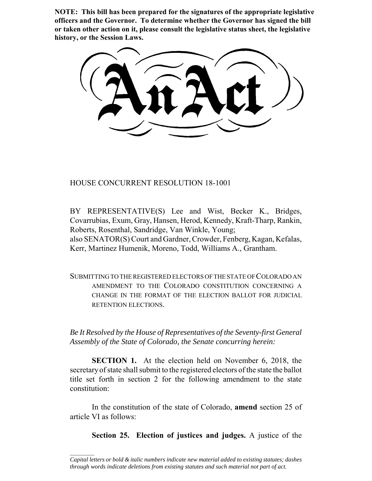**NOTE: This bill has been prepared for the signatures of the appropriate legislative officers and the Governor. To determine whether the Governor has signed the bill or taken other action on it, please consult the legislative status sheet, the legislative history, or the Session Laws.**

HOUSE CONCURRENT RESOLUTION 18-1001

BY REPRESENTATIVE(S) Lee and Wist, Becker K., Bridges, Covarrubias, Exum, Gray, Hansen, Herod, Kennedy, Kraft-Tharp, Rankin, Roberts, Rosenthal, Sandridge, Van Winkle, Young; also SENATOR(S) Court and Gardner, Crowder, Fenberg, Kagan, Kefalas, Kerr, Martinez Humenik, Moreno, Todd, Williams A., Grantham.

SUBMITTING TO THE REGISTERED ELECTORS OF THE STATE OF COLORADO AN AMENDMENT TO THE COLORADO CONSTITUTION CONCERNING A CHANGE IN THE FORMAT OF THE ELECTION BALLOT FOR JUDICIAL RETENTION ELECTIONS.

*Be It Resolved by the House of Representatives of the Seventy-first General Assembly of the State of Colorado, the Senate concurring herein:*

**SECTION 1.** At the election held on November 6, 2018, the secretary of state shall submit to the registered electors of the state the ballot title set forth in section 2 for the following amendment to the state constitution:

In the constitution of the state of Colorado, **amend** section 25 of article VI as follows:

**Section 25. Election of justices and judges.** A justice of the

 $\frac{1}{2}$ 

*Capital letters or bold & italic numbers indicate new material added to existing statutes; dashes through words indicate deletions from existing statutes and such material not part of act.*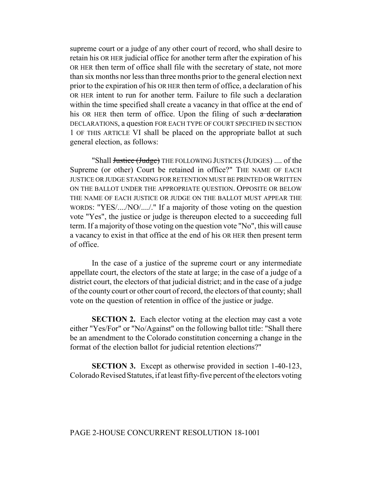supreme court or a judge of any other court of record, who shall desire to retain his OR HER judicial office for another term after the expiration of his OR HER then term of office shall file with the secretary of state, not more than six months nor less than three months prior to the general election next prior to the expiration of his OR HER then term of office, a declaration of his OR HER intent to run for another term. Failure to file such a declaration within the time specified shall create a vacancy in that office at the end of his OR HER then term of office. Upon the filing of such a declaration DECLARATIONS, a question FOR EACH TYPE OF COURT SPECIFIED IN SECTION 1 OF THIS ARTICLE VI shall be placed on the appropriate ballot at such general election, as follows:

"Shall <del>Justice (Judge)</del> THE FOLLOWING JUSTICES (JUDGES) .... of the Supreme (or other) Court be retained in office?" THE NAME OF EACH JUSTICE OR JUDGE STANDING FOR RETENTION MUST BE PRINTED OR WRITTEN ON THE BALLOT UNDER THE APPROPRIATE QUESTION. OPPOSITE OR BELOW THE NAME OF EACH JUSTICE OR JUDGE ON THE BALLOT MUST APPEAR THE WORDS: "YES/..../NO/..../." If a majority of those voting on the question vote "Yes", the justice or judge is thereupon elected to a succeeding full term. If a majority of those voting on the question vote "No", this will cause a vacancy to exist in that office at the end of his OR HER then present term of office.

In the case of a justice of the supreme court or any intermediate appellate court, the electors of the state at large; in the case of a judge of a district court, the electors of that judicial district; and in the case of a judge of the county court or other court of record, the electors of that county; shall vote on the question of retention in office of the justice or judge.

**SECTION 2.** Each elector voting at the election may cast a vote either "Yes/For" or "No/Against" on the following ballot title: "Shall there be an amendment to the Colorado constitution concerning a change in the format of the election ballot for judicial retention elections?"

**SECTION 3.** Except as otherwise provided in section 1-40-123, Colorado Revised Statutes, if at least fifty-five percent of the electors voting

## PAGE 2-HOUSE CONCURRENT RESOLUTION 18-1001